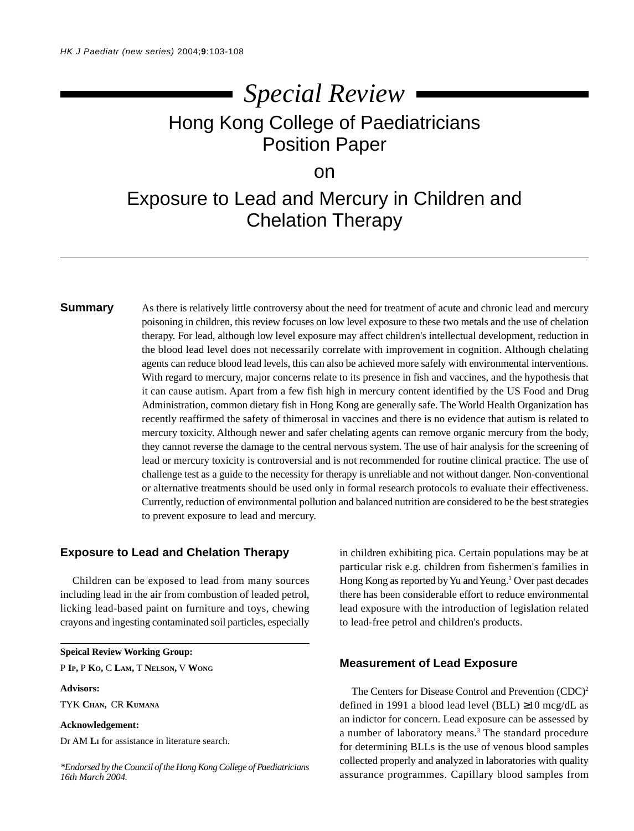# Hong Kong College of Paediatricians Position Paper *Special Review*

### on

## Exposure to Lead and Mercury in Children and Chelation Therapy

**Summary** As there is relatively little controversy about the need for treatment of acute and chronic lead and mercury poisoning in children, this review focuses on low level exposure to these two metals and the use of chelation therapy. For lead, although low level exposure may affect children's intellectual development, reduction in the blood lead level does not necessarily correlate with improvement in cognition. Although chelating agents can reduce blood lead levels, this can also be achieved more safely with environmental interventions. With regard to mercury, major concerns relate to its presence in fish and vaccines, and the hypothesis that it can cause autism. Apart from a few fish high in mercury content identified by the US Food and Drug Administration, common dietary fish in Hong Kong are generally safe. The World Health Organization has recently reaffirmed the safety of thimerosal in vaccines and there is no evidence that autism is related to mercury toxicity. Although newer and safer chelating agents can remove organic mercury from the body, they cannot reverse the damage to the central nervous system. The use of hair analysis for the screening of lead or mercury toxicity is controversial and is not recommended for routine clinical practice. The use of challenge test as a guide to the necessity for therapy is unreliable and not without danger. Non-conventional or alternative treatments should be used only in formal research protocols to evaluate their effectiveness. Currently, reduction of environmental pollution and balanced nutrition are considered to be the best strategies to prevent exposure to lead and mercury.

#### **Exposure to Lead and Chelation Therapy**

Children can be exposed to lead from many sources including lead in the air from combustion of leaded petrol, licking lead-based paint on furniture and toys, chewing crayons and ingesting contaminated soil particles, especially

**Speical Review Working Group:**

P **IP,** P **KO,** C **LAM,** T **NELSON,** V **WONG**

#### **Advisors:**

TYK **CHAN,** CR **KUMANA**

#### **Acknowledgement:**

Dr AM **LI** for assistance in literature search.

*\*Endorsed by the Council of the Hong Kong College of Paediatricians 16th March 2004.*

in children exhibiting pica. Certain populations may be at particular risk e.g. children from fishermen's families in Hong Kong as reported by Yu and Yeung.<sup>1</sup> Over past decades there has been considerable effort to reduce environmental lead exposure with the introduction of legislation related to lead-free petrol and children's products.

#### **Measurement of Lead Exposure**

The Centers for Disease Control and Prevention (CDC)<sup>2</sup> defined in 1991 a blood lead level (BLL) ≥10 mcg/dL as an indictor for concern. Lead exposure can be assessed by a number of laboratory means.<sup>3</sup> The standard procedure for determining BLLs is the use of venous blood samples collected properly and analyzed in laboratories with quality assurance programmes. Capillary blood samples from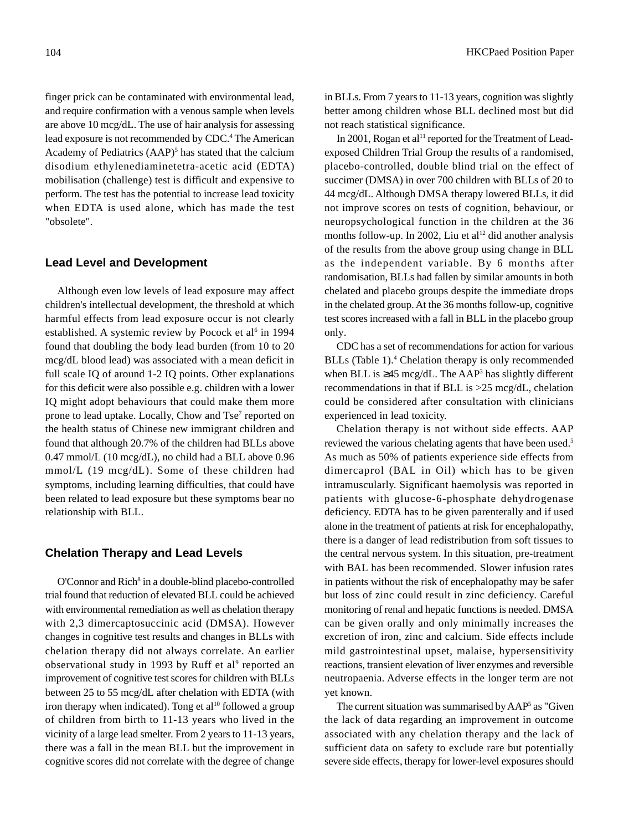finger prick can be contaminated with environmental lead, and require confirmation with a venous sample when levels are above 10 mcg/dL. The use of hair analysis for assessing lead exposure is not recommended by CDC.<sup>4</sup> The American Academy of Pediatrics (AAP)<sup>5</sup> has stated that the calcium disodium ethylenediaminetetra-acetic acid (EDTA) mobilisation (challenge) test is difficult and expensive to perform. The test has the potential to increase lead toxicity when EDTA is used alone, which has made the test "obsolete".

#### **Lead Level and Development**

Although even low levels of lead exposure may affect children's intellectual development, the threshold at which harmful effects from lead exposure occur is not clearly established. A systemic review by Pocock et al<sup>6</sup> in 1994 found that doubling the body lead burden (from 10 to 20 mcg/dL blood lead) was associated with a mean deficit in full scale IQ of around 1-2 IQ points. Other explanations for this deficit were also possible e.g. children with a lower IQ might adopt behaviours that could make them more prone to lead uptake. Locally, Chow and Tse<sup>7</sup> reported on the health status of Chinese new immigrant children and found that although 20.7% of the children had BLLs above 0.47 mmol/L (10 mcg/dL), no child had a BLL above 0.96 mmol/L (19 mcg/dL). Some of these children had symptoms, including learning difficulties, that could have been related to lead exposure but these symptoms bear no relationship with BLL.

#### **Chelation Therapy and Lead Levels**

O'Connor and Rich<sup>8</sup> in a double-blind placebo-controlled trial found that reduction of elevated BLL could be achieved with environmental remediation as well as chelation therapy with 2,3 dimercaptosuccinic acid (DMSA). However changes in cognitive test results and changes in BLLs with chelation therapy did not always correlate. An earlier observational study in 1993 by Ruff et al<sup>9</sup> reported an improvement of cognitive test scores for children with BLLs between 25 to 55 mcg/dL after chelation with EDTA (with iron therapy when indicated). Tong et al<sup>10</sup> followed a group of children from birth to 11-13 years who lived in the vicinity of a large lead smelter. From 2 years to 11-13 years, there was a fall in the mean BLL but the improvement in cognitive scores did not correlate with the degree of change

in BLLs. From 7 years to 11-13 years, cognition was slightly better among children whose BLL declined most but did not reach statistical significance.

In 2001, Rogan et al<sup>11</sup> reported for the Treatment of Leadexposed Children Trial Group the results of a randomised, placebo-controlled, double blind trial on the effect of succimer (DMSA) in over 700 children with BLLs of 20 to 44 mcg/dL. Although DMSA therapy lowered BLLs, it did not improve scores on tests of cognition, behaviour, or neuropsychological function in the children at the 36 months follow-up. In 2002, Liu et al<sup>12</sup> did another analysis of the results from the above group using change in BLL as the independent variable. By 6 months after randomisation, BLLs had fallen by similar amounts in both chelated and placebo groups despite the immediate drops in the chelated group. At the 36 months follow-up, cognitive test scores increased with a fall in BLL in the placebo group only.

CDC has a set of recommendations for action for various BLLs (Table 1).<sup>4</sup> Chelation therapy is only recommended when BLL is  $\geq$ 45 mcg/dL. The AAP<sup>3</sup> has slightly different recommendations in that if BLL is >25 mcg/dL, chelation could be considered after consultation with clinicians experienced in lead toxicity.

Chelation therapy is not without side effects. AAP reviewed the various chelating agents that have been used.<sup>5</sup> As much as 50% of patients experience side effects from dimercaprol (BAL in Oil) which has to be given intramuscularly. Significant haemolysis was reported in patients with glucose-6-phosphate dehydrogenase deficiency. EDTA has to be given parenterally and if used alone in the treatment of patients at risk for encephalopathy, there is a danger of lead redistribution from soft tissues to the central nervous system. In this situation, pre-treatment with BAL has been recommended. Slower infusion rates in patients without the risk of encephalopathy may be safer but loss of zinc could result in zinc deficiency. Careful monitoring of renal and hepatic functions is needed. DMSA can be given orally and only minimally increases the excretion of iron, zinc and calcium. Side effects include mild gastrointestinal upset, malaise, hypersensitivity reactions, transient elevation of liver enzymes and reversible neutropaenia. Adverse effects in the longer term are not yet known.

The current situation was summarised by AAP<sup>5</sup> as "Given the lack of data regarding an improvement in outcome associated with any chelation therapy and the lack of sufficient data on safety to exclude rare but potentially severe side effects, therapy for lower-level exposures should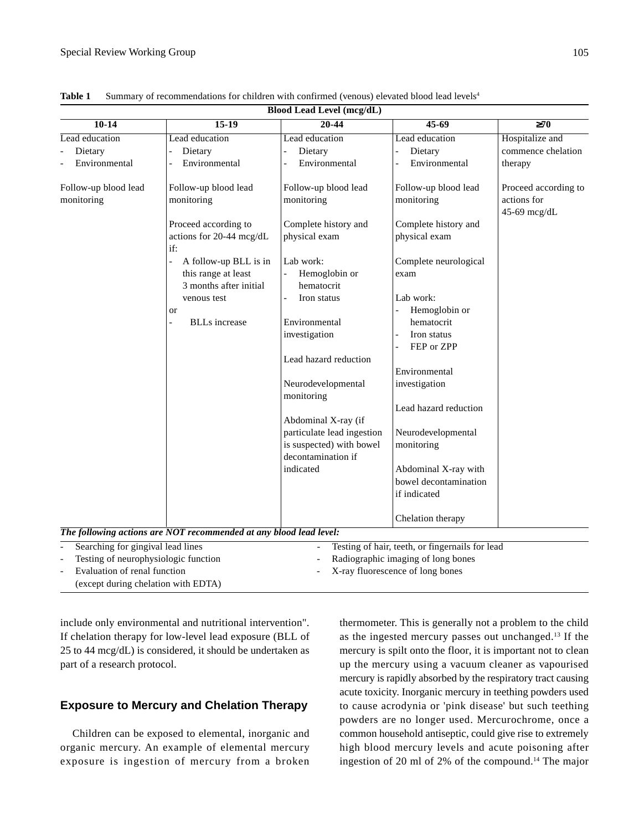| <b>Blood Lead Level (mcg/dL)</b>     |                                                                        |                                                |                                                 |                                                     |
|--------------------------------------|------------------------------------------------------------------------|------------------------------------------------|-------------------------------------------------|-----------------------------------------------------|
| $10-14$                              | $15-19$                                                                | 20-44                                          | $45-69$                                         | $\geq 70$                                           |
| Lead education                       | Lead education                                                         | Lead education                                 | Lead education                                  | Hospitalize and                                     |
| Dietary                              | Dietary                                                                | Dietary                                        | Dietary                                         | commence chelation                                  |
| Environmental                        | Environmental                                                          | Environmental                                  | Environmental                                   | therapy                                             |
| Follow-up blood lead<br>monitoring   | Follow-up blood lead<br>monitoring                                     | Follow-up blood lead<br>monitoring             | Follow-up blood lead<br>monitoring              | Proceed according to<br>actions for<br>45-69 mcg/dL |
|                                      | Proceed according to<br>actions for 20-44 mcg/dL<br>if:                | Complete history and<br>physical exam          | Complete history and<br>physical exam           |                                                     |
|                                      | A follow-up BLL is in<br>this range at least<br>3 months after initial | Lab work:<br>Hemoglobin or<br>hematocrit       | Complete neurological<br>exam                   |                                                     |
|                                      | venous test                                                            | Iron status<br>$\overline{a}$                  | Lab work:                                       |                                                     |
|                                      | or                                                                     |                                                | Hemoglobin or                                   |                                                     |
|                                      | <b>BLLs</b> increase<br>$\blacksquare$                                 | Environmental                                  | hematocrit                                      |                                                     |
|                                      |                                                                        | investigation                                  | Iron status<br>FEP or ZPP                       |                                                     |
|                                      |                                                                        | Lead hazard reduction                          |                                                 |                                                     |
|                                      |                                                                        |                                                | Environmental                                   |                                                     |
|                                      |                                                                        | Neurodevelopmental<br>monitoring               | investigation                                   |                                                     |
|                                      |                                                                        |                                                | Lead hazard reduction                           |                                                     |
|                                      |                                                                        | Abdominal X-ray (if                            |                                                 |                                                     |
|                                      |                                                                        | particulate lead ingestion                     | Neurodevelopmental                              |                                                     |
|                                      |                                                                        | is suspected) with bowel<br>decontamination if | monitoring                                      |                                                     |
|                                      |                                                                        | indicated                                      | Abdominal X-ray with                            |                                                     |
|                                      |                                                                        |                                                | bowel decontamination                           |                                                     |
|                                      |                                                                        |                                                | if indicated                                    |                                                     |
|                                      |                                                                        |                                                | Chelation therapy                               |                                                     |
|                                      | The following actions are NOT recommended at any blood lead level:     |                                                |                                                 |                                                     |
| Searching for gingival lead lines    |                                                                        |                                                | Testing of hair, teeth, or fingernails for lead |                                                     |
| Testing of neurophysiologic function |                                                                        |                                                | Radiographic imaging of long bones              |                                                     |
| Evaluation of renal function         |                                                                        |                                                | X-ray fluorescence of long bones                |                                                     |

Table 1 Summary of recommendations for children with confirmed (venous) elevated blood lead levels<sup>4</sup>

include only environmental and nutritional intervention". If chelation therapy for low-level lead exposure (BLL of 25 to 44 mcg/dL) is considered, it should be undertaken as part of a research protocol.

(except during chelation with EDTA)

### **Exposure to Mercury and Chelation Therapy**

Children can be exposed to elemental, inorganic and organic mercury. An example of elemental mercury exposure is ingestion of mercury from a broken

thermometer. This is generally not a problem to the child as the ingested mercury passes out unchanged.13 If the mercury is spilt onto the floor, it is important not to clean up the mercury using a vacuum cleaner as vapourised mercury is rapidly absorbed by the respiratory tract causing acute toxicity. Inorganic mercury in teething powders used to cause acrodynia or 'pink disease' but such teething powders are no longer used. Mercurochrome, once a common household antiseptic, could give rise to extremely high blood mercury levels and acute poisoning after ingestion of 20 ml of 2% of the compound.<sup>14</sup> The major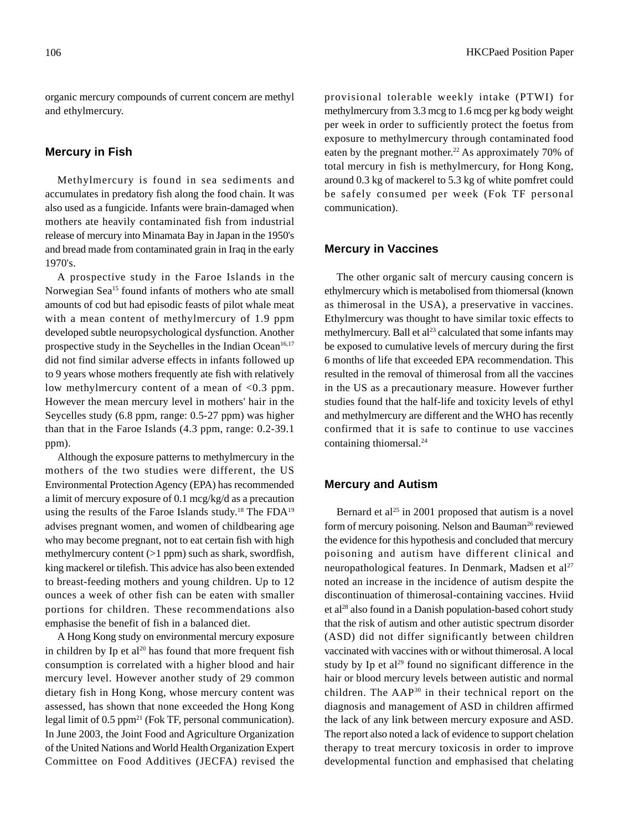organic mercury compounds of current concern are methyl and ethylmercury.

#### **Mercury in Fish**

Methylmercury is found in sea sediments and accumulates in predatory fish along the food chain. It was also used as a fungicide. Infants were brain-damaged when mothers ate heavily contaminated fish from industrial release of mercury into Minamata Bay in Japan in the 1950's and bread made from contaminated grain in Iraq in the early 1970's.

A prospective study in the Faroe Islands in the Norwegian Sea<sup>15</sup> found infants of mothers who ate small amounts of cod but had episodic feasts of pilot whale meat with a mean content of methylmercury of 1.9 ppm developed subtle neuropsychological dysfunction. Another prospective study in the Seychelles in the Indian Ocean<sup>16,17</sup> did not find similar adverse effects in infants followed up to 9 years whose mothers frequently ate fish with relatively low methylmercury content of a mean of <0.3 ppm. However the mean mercury level in mothers' hair in the Seycelles study (6.8 ppm, range: 0.5-27 ppm) was higher than that in the Faroe Islands (4.3 ppm, range: 0.2-39.1 ppm).

Although the exposure patterns to methylmercury in the mothers of the two studies were different, the US Environmental Protection Agency (EPA) has recommended a limit of mercury exposure of 0.1 mcg/kg/d as a precaution using the results of the Faroe Islands study.<sup>18</sup> The FDA<sup>19</sup> advises pregnant women, and women of childbearing age who may become pregnant, not to eat certain fish with high methylmercury content (>1 ppm) such as shark, swordfish, king mackerel or tilefish. This advice has also been extended to breast-feeding mothers and young children. Up to 12 ounces a week of other fish can be eaten with smaller portions for children. These recommendations also emphasise the benefit of fish in a balanced diet.

A Hong Kong study on environmental mercury exposure in children by Ip et  $al^{20}$  has found that more frequent fish consumption is correlated with a higher blood and hair mercury level. However another study of 29 common dietary fish in Hong Kong, whose mercury content was assessed, has shown that none exceeded the Hong Kong legal limit of  $0.5$  ppm<sup>21</sup> (Fok TF, personal communication). In June 2003, the Joint Food and Agriculture Organization of the United Nations and World Health Organization Expert Committee on Food Additives (JECFA) revised the

provisional tolerable weekly intake (PTWI) for methylmercury from 3.3 mcg to 1.6 mcg per kg body weight per week in order to sufficiently protect the foetus from exposure to methylmercury through contaminated food eaten by the pregnant mother.<sup>22</sup> As approximately 70% of total mercury in fish is methylmercury, for Hong Kong, around 0.3 kg of mackerel to 5.3 kg of white pomfret could be safely consumed per week (Fok TF personal communication).

#### **Mercury in Vaccines**

The other organic salt of mercury causing concern is ethylmercury which is metabolised from thiomersal (known as thimerosal in the USA), a preservative in vaccines. Ethylmercury was thought to have similar toxic effects to methylmercury. Ball et al<sup>23</sup> calculated that some infants may be exposed to cumulative levels of mercury during the first 6 months of life that exceeded EPA recommendation. This resulted in the removal of thimerosal from all the vaccines in the US as a precautionary measure. However further studies found that the half-life and toxicity levels of ethyl and methylmercury are different and the WHO has recently confirmed that it is safe to continue to use vaccines containing thiomersal.24

#### **Mercury and Autism**

Bernard et al<sup>25</sup> in 2001 proposed that autism is a novel form of mercury poisoning. Nelson and Bauman<sup>26</sup> reviewed the evidence for this hypothesis and concluded that mercury poisoning and autism have different clinical and neuropathological features. In Denmark, Madsen et al<sup>27</sup> noted an increase in the incidence of autism despite the discontinuation of thimerosal-containing vaccines. Hviid et al28 also found in a Danish population-based cohort study that the risk of autism and other autistic spectrum disorder (ASD) did not differ significantly between children vaccinated with vaccines with or without thimerosal. A local study by Ip et al<sup>29</sup> found no significant difference in the hair or blood mercury levels between autistic and normal children. The AAP30 in their technical report on the diagnosis and management of ASD in children affirmed the lack of any link between mercury exposure and ASD. The report also noted a lack of evidence to support chelation therapy to treat mercury toxicosis in order to improve developmental function and emphasised that chelating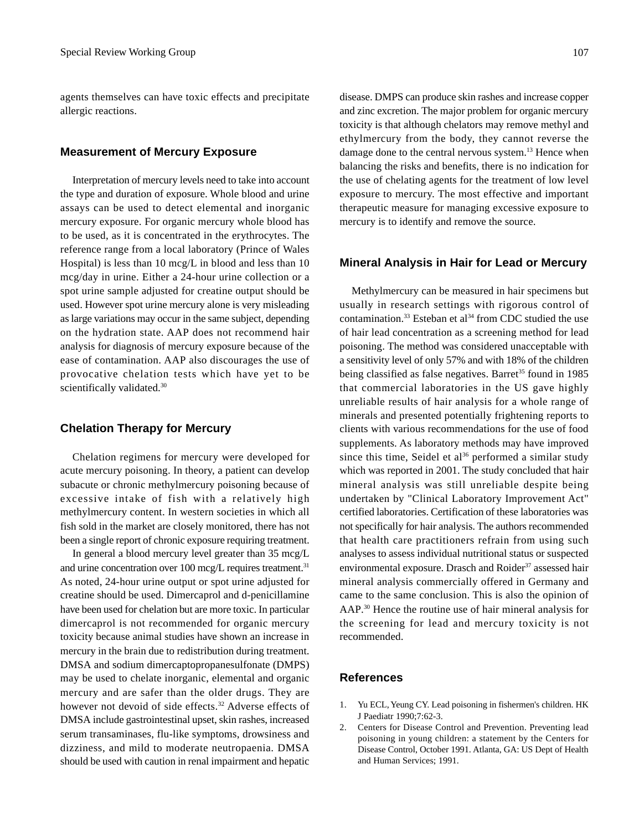agents themselves can have toxic effects and precipitate allergic reactions.

#### **Measurement of Mercury Exposure**

Interpretation of mercury levels need to take into account the type and duration of exposure. Whole blood and urine assays can be used to detect elemental and inorganic mercury exposure. For organic mercury whole blood has to be used, as it is concentrated in the erythrocytes. The reference range from a local laboratory (Prince of Wales Hospital) is less than 10 mcg/L in blood and less than 10 mcg/day in urine. Either a 24-hour urine collection or a spot urine sample adjusted for creatine output should be used. However spot urine mercury alone is very misleading as large variations may occur in the same subject, depending on the hydration state. AAP does not recommend hair analysis for diagnosis of mercury exposure because of the ease of contamination. AAP also discourages the use of provocative chelation tests which have yet to be scientifically validated.<sup>30</sup>

#### **Chelation Therapy for Mercury**

Chelation regimens for mercury were developed for acute mercury poisoning. In theory, a patient can develop subacute or chronic methylmercury poisoning because of excessive intake of fish with a relatively high methylmercury content. In western societies in which all fish sold in the market are closely monitored, there has not been a single report of chronic exposure requiring treatment.

In general a blood mercury level greater than 35 mcg/L and urine concentration over 100 mcg/L requires treatment.<sup>31</sup> As noted, 24-hour urine output or spot urine adjusted for creatine should be used. Dimercaprol and d-penicillamine have been used for chelation but are more toxic. In particular dimercaprol is not recommended for organic mercury toxicity because animal studies have shown an increase in mercury in the brain due to redistribution during treatment. DMSA and sodium dimercaptopropanesulfonate (DMPS) may be used to chelate inorganic, elemental and organic mercury and are safer than the older drugs. They are however not devoid of side effects.<sup>32</sup> Adverse effects of DMSA include gastrointestinal upset, skin rashes, increased serum transaminases, flu-like symptoms, drowsiness and dizziness, and mild to moderate neutropaenia. DMSA should be used with caution in renal impairment and hepatic disease. DMPS can produce skin rashes and increase copper and zinc excretion. The major problem for organic mercury toxicity is that although chelators may remove methyl and ethylmercury from the body, they cannot reverse the damage done to the central nervous system.<sup>13</sup> Hence when balancing the risks and benefits, there is no indication for the use of chelating agents for the treatment of low level exposure to mercury. The most effective and important therapeutic measure for managing excessive exposure to mercury is to identify and remove the source.

#### **Mineral Analysis in Hair for Lead or Mercury**

Methylmercury can be measured in hair specimens but usually in research settings with rigorous control of contamination.<sup>33</sup> Esteban et al<sup>34</sup> from CDC studied the use of hair lead concentration as a screening method for lead poisoning. The method was considered unacceptable with a sensitivity level of only 57% and with 18% of the children being classified as false negatives. Barret<sup>35</sup> found in 1985 that commercial laboratories in the US gave highly unreliable results of hair analysis for a whole range of minerals and presented potentially frightening reports to clients with various recommendations for the use of food supplements. As laboratory methods may have improved since this time, Seidel et al<sup>36</sup> performed a similar study which was reported in 2001. The study concluded that hair mineral analysis was still unreliable despite being undertaken by "Clinical Laboratory Improvement Act" certified laboratories. Certification of these laboratories was not specifically for hair analysis. The authors recommended that health care practitioners refrain from using such analyses to assess individual nutritional status or suspected environmental exposure. Drasch and Roider<sup>37</sup> assessed hair mineral analysis commercially offered in Germany and came to the same conclusion. This is also the opinion of AAP.30 Hence the routine use of hair mineral analysis for the screening for lead and mercury toxicity is not recommended.

#### **References**

- 1. Yu ECL, Yeung CY. Lead poisoning in fishermen's children. HK J Paediatr 1990;7:62-3.
- 2. Centers for Disease Control and Prevention. Preventing lead poisoning in young children: a statement by the Centers for Disease Control, October 1991. Atlanta, GA: US Dept of Health and Human Services; 1991.